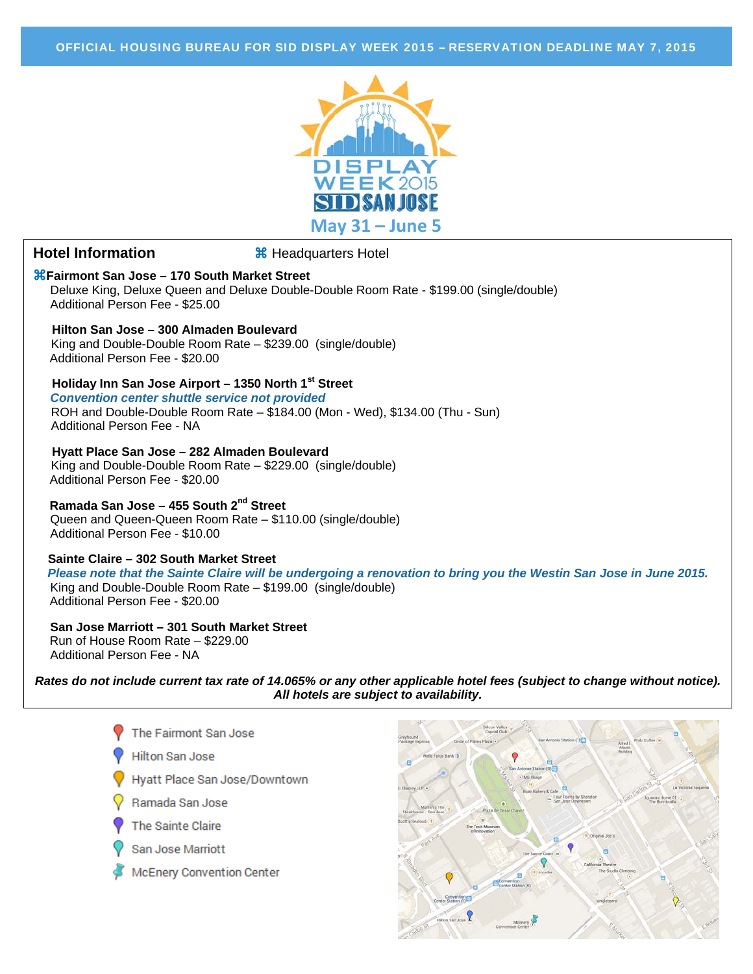

# **Hotel Information 8** Headquarters Hotel

**Fairmont San Jose – 170 South Market Street**  Deluxe King, Deluxe Queen and Deluxe Double-Double Room Rate - \$199.00 (single/double) Additional Person Fee - \$25.00

# **Hilton San Jose – 300 Almaden Boulevard**

 King and Double-Double Room Rate – \$239.00 (single/double) Additional Person Fee - \$20.00

# **Holiday Inn San Jose Airport – 1350 North 1st Street**

 *Convention center shuttle service not provided* ROH and Double-Double Room Rate – \$184.00 (Mon - Wed), \$134.00 (Thu - Sun) Additional Person Fee - NA

#### **Hyatt Place San Jose – 282 Almaden Boulevard**

 King and Double-Double Room Rate – \$229.00 (single/double) Additional Person Fee - \$20.00

# **Ramada San Jose – 455 South 2nd Street**

Queen and Queen-Queen Room Rate – \$110.00 (single/double) Additional Person Fee - \$10.00

#### **Sainte Claire – 302 South Market Street**

*Please note that the Sainte Claire will be undergoing a renovation to bring you the Westin San Jose in June 2015.* King and Double-Double Room Rate – \$199.00 (single/double) Additional Person Fee - \$20.00

 **San Jose Marriott – 301 South Market Street**  Run of House Room Rate – \$229.00 Additional Person Fee - NA

*Rates do not include current tax rate of 14.065% or any other applicable hotel fees (subject to change without notice). All hotels are subject to availability.* 



- **Hilton San Jose**
- Hvatt Place San Jose/Downtown
- Ramada San Jose
- The Sainte Claire
- San Jose Marriott
- **McEnery Convention Center**